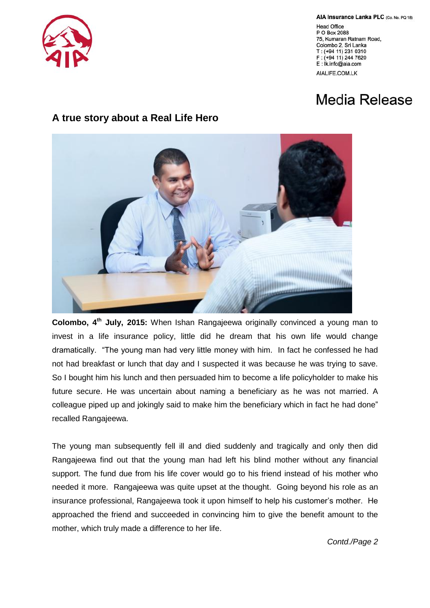

AIA Insurance Lanka PLC (Co. No. PQ 18)

**Head Office** P O Box 2088 75, Kumaran Ratnam Road, Colombo 2, Sri Lanka T: (+94 11) 231 0310 F: (+94 11) 244 7620 E: Ik.info@aia.com AIALIFE.COM.LK

## Media Release

## **A true story about a Real Life Hero**



**Colombo, 4 th July, 2015:** When Ishan Rangajeewa originally convinced a young man to invest in a life insurance policy, little did he dream that his own life would change dramatically. "The young man had very little money with him. In fact he confessed he had not had breakfast or lunch that day and I suspected it was because he was trying to save. So I bought him his lunch and then persuaded him to become a life policyholder to make his future secure. He was uncertain about naming a beneficiary as he was not married. A colleague piped up and jokingly said to make him the beneficiary which in fact he had done" recalled Rangajeewa.

The young man subsequently fell ill and died suddenly and tragically and only then did Rangajeewa find out that the young man had left his blind mother without any financial support. The fund due from his life cover would go to his friend instead of his mother who needed it more. Rangajeewa was quite upset at the thought. Going beyond his role as an insurance professional, Rangajeewa took it upon himself to help his customer"s mother. He approached the friend and succeeded in convincing him to give the benefit amount to the mother, which truly made a difference to her life.

*Contd./Page 2*